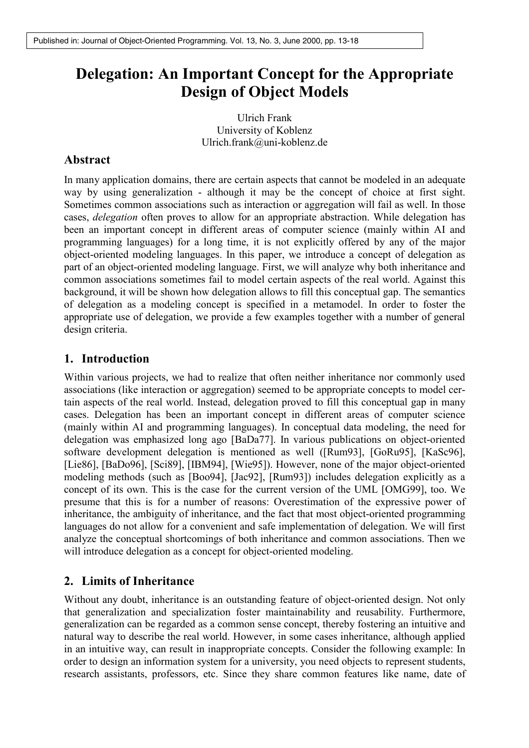# **Delegation: An Important Concept for the Appropriate Design of Object Models**

Ulrich Frank University of Koblenz Ulrich.frank@uni-koblenz.de

# **Abstract**

In many application domains, there are certain aspects that cannot be modeled in an adequate way by using generalization - although it may be the concept of choice at first sight. Sometimes common associations such as interaction or aggregation will fail as well. In those cases, *delegation* often proves to allow for an appropriate abstraction. While delegation has been an important concept in different areas of computer science (mainly within AI and programming languages) for a long time, it is not explicitly offered by any of the major object-oriented modeling languages. In this paper, we introduce a concept of delegation as part of an object-oriented modeling language. First, we will analyze why both inheritance and common associations sometimes fail to model certain aspects of the real world. Against this background, it will be shown how delegation allows to fill this conceptual gap. The semantics of delegation as a modeling concept is specified in a metamodel. In order to foster the appropriate use of delegation, we provide a few examples together with a number of general design criteria.

# **1. Introduction**

Within various projects, we had to realize that often neither inheritance nor commonly used associations (like interaction or aggregation) seemed to be appropriate concepts to model certain aspects of the real world. Instead, delegation proved to fill this conceptual gap in many cases. Delegation has been an important concept in different areas of computer science (mainly within AI and programming languages). In conceptual data modeling, the need for delegation was emphasized long ago [BaDa77]. In various publications on object-oriented software development delegation is mentioned as well ([Rum93], [GoRu95], [KaSc96], [Lie86], [BaDo96], [Sci89], [IBM94], [Wie95]). However, none of the major object-oriented modeling methods (such as [Boo94], [Jac92], [Rum93]) includes delegation explicitly as a concept of its own. This is the case for the current version of the UML [OMG99], too. We presume that this is for a number of reasons: Overestimation of the expressive power of inheritance, the ambiguity of inheritance, and the fact that most object-oriented programming languages do not allow for a convenient and safe implementation of delegation. We will first analyze the conceptual shortcomings of both inheritance and common associations. Then we will introduce delegation as a concept for object-oriented modeling.

# **2. Limits of Inheritance**

Without any doubt, inheritance is an outstanding feature of object-oriented design. Not only that generalization and specialization foster maintainability and reusability. Furthermore, generalization can be regarded as a common sense concept, thereby fostering an intuitive and natural way to describe the real world. However, in some cases inheritance, although applied in an intuitive way, can result in inappropriate concepts. Consider the following example: In order to design an information system for a university, you need objects to represent students, research assistants, professors, etc. Since they share common features like name, date of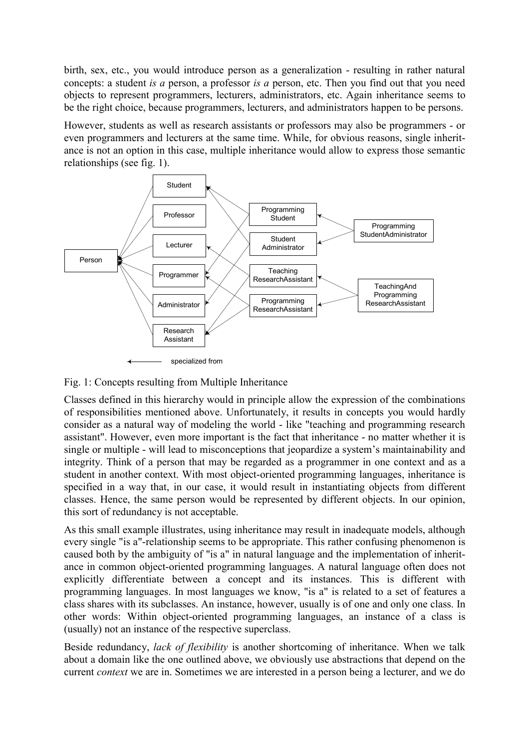birth, sex, etc., you would introduce person as a generalization - resulting in rather natural concepts: a student *is a* person, a professor *is a* person, etc. Then you find out that you need objects to represent programmers, lecturers, administrators, etc. Again inheritance seems to be the right choice, because programmers, lecturers, and administrators happen to be persons.

However, students as well as research assistants or professors may also be programmers - or even programmers and lecturers at the same time. While, for obvious reasons, single inheritance is not an option in this case, multiple inheritance would allow to express those semantic relationships (see fig. 1).



Fig. 1: Concepts resulting from Multiple Inheritance

Classes defined in this hierarchy would in principle allow the expression of the combinations of responsibilities mentioned above. Unfortunately, it results in concepts you would hardly consider as a natural way of modeling the world - like "teaching and programming research assistant". However, even more important is the fact that inheritance - no matter whether it is single or multiple - will lead to misconceptions that jeopardize a system's maintainability and integrity. Think of a person that may be regarded as a programmer in one context and as a student in another context. With most object-oriented programming languages, inheritance is specified in a way that, in our case, it would result in instantiating objects from different classes. Hence, the same person would be represented by different objects. In our opinion, this sort of redundancy is not acceptable.

As this small example illustrates, using inheritance may result in inadequate models, although every single "is a"-relationship seems to be appropriate. This rather confusing phenomenon is caused both by the ambiguity of "is a" in natural language and the implementation of inheritance in common object-oriented programming languages. A natural language often does not explicitly differentiate between a concept and its instances. This is different with programming languages. In most languages we know, "is a" is related to a set of features a class shares with its subclasses. An instance, however, usually is of one and only one class. In other words: Within object-oriented programming languages, an instance of a class is (usually) not an instance of the respective superclass.

Beside redundancy, *lack of flexibility* is another shortcoming of inheritance. When we talk about a domain like the one outlined above, we obviously use abstractions that depend on the current *context* we are in. Sometimes we are interested in a person being a lecturer, and we do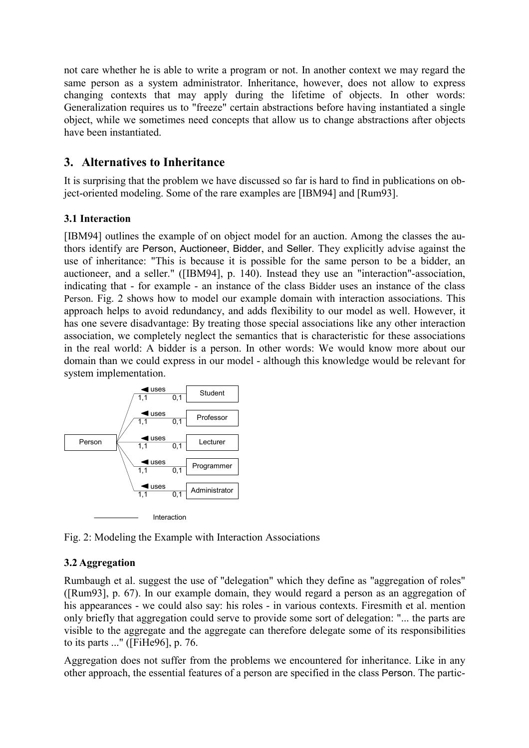not care whether he is able to write a program or not. In another context we may regard the same person as a system administrator. Inheritance, however, does not allow to express changing contexts that may apply during the lifetime of objects. In other words: Generalization requires us to "freeze" certain abstractions before having instantiated a single object, while we sometimes need concepts that allow us to change abstractions after objects have been instantiated.

# **3. Alternatives to Inheritance**

It is surprising that the problem we have discussed so far is hard to find in publications on object-oriented modeling. Some of the rare examples are [IBM94] and [Rum93].

#### **3.1 Interaction**

[IBM94] outlines the example of on object model for an auction. Among the classes the authors identify are Person, Auctioneer, Bidder, and Seller. They explicitly advise against the use of inheritance: "This is because it is possible for the same person to be a bidder, an auctioneer, and a seller." ([IBM94], p. 140). Instead they use an "interaction"-association, indicating that - for example - an instance of the class Bidder uses an instance of the class Person. Fig. 2 shows how to model our example domain with interaction associations. This approach helps to avoid redundancy, and adds flexibility to our model as well. However, it has one severe disadvantage: By treating those special associations like any other interaction association, we completely neglect the semantics that is characteristic for these associations in the real world: A bidder is a person. In other words: We would know more about our domain than we could express in our model - although this knowledge would be relevant for system implementation.



Fig. 2: Modeling the Example with Interaction Associations

# **3.2 Aggregation**

Rumbaugh et al. suggest the use of "delegation" which they define as "aggregation of roles" ([Rum93], p. 67). In our example domain, they would regard a person as an aggregation of his appearances - we could also say: his roles - in various contexts. Firesmith et al. mention only briefly that aggregation could serve to provide some sort of delegation: "... the parts are visible to the aggregate and the aggregate can therefore delegate some of its responsibilities to its parts ..." ([FiHe96], p. 76.

Aggregation does not suffer from the problems we encountered for inheritance. Like in any other approach, the essential features of a person are specified in the class Person. The partic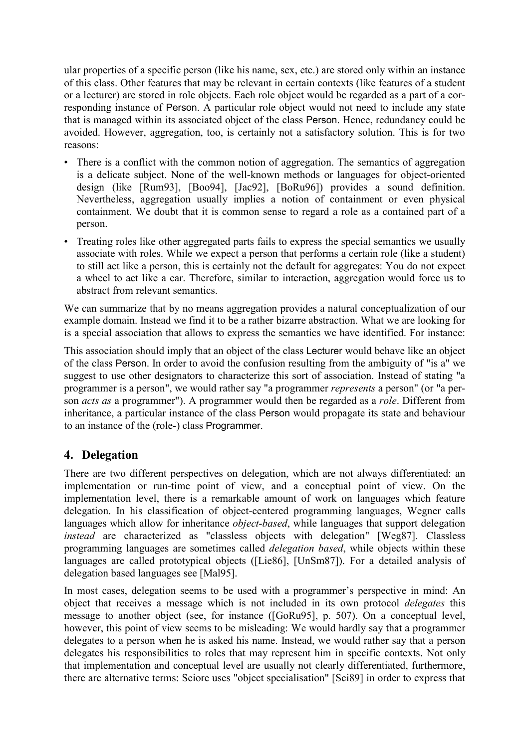ular properties of a specific person (like his name, sex, etc.) are stored only within an instance of this class. Other features that may be relevant in certain contexts (like features of a student or a lecturer) are stored in role objects. Each role object would be regarded as a part of a corresponding instance of Person. A particular role object would not need to include any state that is managed within its associated object of the class Person. Hence, redundancy could be avoided. However, aggregation, too, is certainly not a satisfactory solution. This is for two reasons:

- There is a conflict with the common notion of aggregation. The semantics of aggregation is a delicate subject. None of the well-known methods or languages for object-oriented design (like [Rum93], [Boo94], [Jac92], [BoRu96]) provides a sound definition. Nevertheless, aggregation usually implies a notion of containment or even physical containment. We doubt that it is common sense to regard a role as a contained part of a person.
- Treating roles like other aggregated parts fails to express the special semantics we usually associate with roles. While we expect a person that performs a certain role (like a student) to still act like a person, this is certainly not the default for aggregates: You do not expect a wheel to act like a car. Therefore, similar to interaction, aggregation would force us to abstract from relevant semantics.

We can summarize that by no means aggregation provides a natural conceptualization of our example domain. Instead we find it to be a rather bizarre abstraction. What we are looking for is a special association that allows to express the semantics we have identified. For instance:

This association should imply that an object of the class Lecturer would behave like an object of the class Person. In order to avoid the confusion resulting from the ambiguity of "is a" we suggest to use other designators to characterize this sort of association. Instead of stating "a programmer is a person", we would rather say "a programmer *represents* a person" (or "a person *acts as* a programmer"). A programmer would then be regarded as a *role*. Different from inheritance, a particular instance of the class Person would propagate its state and behaviour to an instance of the (role-) class Programmer.

# **4. Delegation**

There are two different perspectives on delegation, which are not always differentiated: an implementation or run-time point of view, and a conceptual point of view. On the implementation level, there is a remarkable amount of work on languages which feature delegation. In his classification of object-centered programming languages, Wegner calls languages which allow for inheritance *object-based*, while languages that support delegation *instead* are characterized as "classless objects with delegation" [Weg87]. Classless programming languages are sometimes called *delegation based*, while objects within these languages are called prototypical objects ([Lie<sub>86</sub>], [UnSm87]). For a detailed analysis of delegation based languages see [Mal95].

In most cases, delegation seems to be used with a programmer's perspective in mind: An object that receives a message which is not included in its own protocol *delegates* this message to another object (see, for instance ([GoRu95], p. 507). On a conceptual level, however, this point of view seems to be misleading: We would hardly say that a programmer delegates to a person when he is asked his name. Instead, we would rather say that a person delegates his responsibilities to roles that may represent him in specific contexts. Not only that implementation and conceptual level are usually not clearly differentiated, furthermore, there are alternative terms: Sciore uses "object specialisation" [Sci89] in order to express that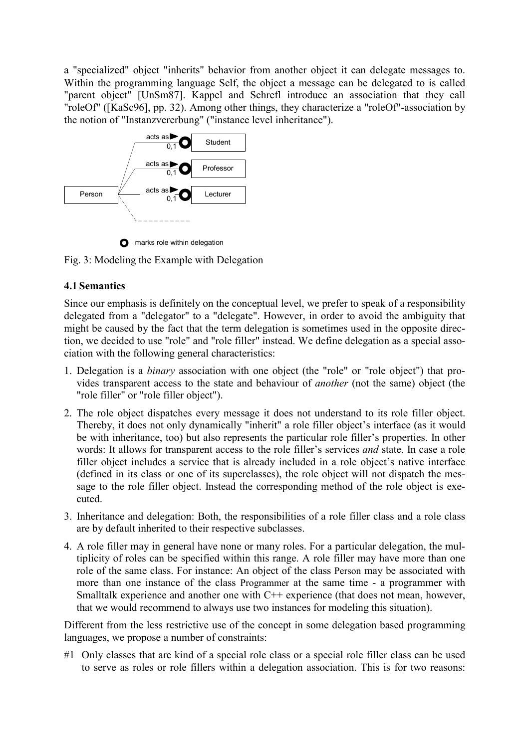a "specialized" object "inherits" behavior from another object it can delegate messages to. Within the programming language Self, the object a message can be delegated to is called "parent object" [UnSm87]. Kappel and Schrefl introduce an association that they call "roleOf" ([KaSc96], pp. 32). Among other things, they characterize a "roleOf"-association by the notion of "Instanzvererbung" ("instance level inheritance").



Fig. 3: Modeling the Example with Delegation

# **4.1 Semantics**

Since our emphasis is definitely on the conceptual level, we prefer to speak of a responsibility delegated from a "delegator" to a "delegate". However, in order to avoid the ambiguity that might be caused by the fact that the term delegation is sometimes used in the opposite direction, we decided to use "role" and "role filler" instead. We define delegation as a special association with the following general characteristics:

- 1. Delegation is a *binary* association with one object (the "role" or "role object") that provides transparent access to the state and behaviour of *another* (not the same) object (the "role filler" or "role filler object").
- 2. The role object dispatches every message it does not understand to its role filler object. Thereby, it does not only dynamically "inherit" a role filler object's interface (as it would be with inheritance, too) but also represents the particular role filler's properties. In other words: It allows for transparent access to the role filler's services *and* state. In case a role filler object includes a service that is already included in a role object's native interface (defined in its class or one of its superclasses), the role object will not dispatch the message to the role filler object. Instead the corresponding method of the role object is executed.
- 3. Inheritance and delegation: Both, the responsibilities of a role filler class and a role class are by default inherited to their respective subclasses.
- 4. A role filler may in general have none or many roles. For a particular delegation, the multiplicity of roles can be specified within this range. A role filler may have more than one role of the same class. For instance: An object of the class Person may be associated with more than one instance of the class Programmer at the same time - a programmer with Smalltalk experience and another one with C++ experience (that does not mean, however, that we would recommend to always use two instances for modeling this situation).

Different from the less restrictive use of the concept in some delegation based programming languages, we propose a number of constraints:

#1 Only classes that are kind of a special role class or a special role filler class can be used to serve as roles or role fillers within a delegation association. This is for two reasons: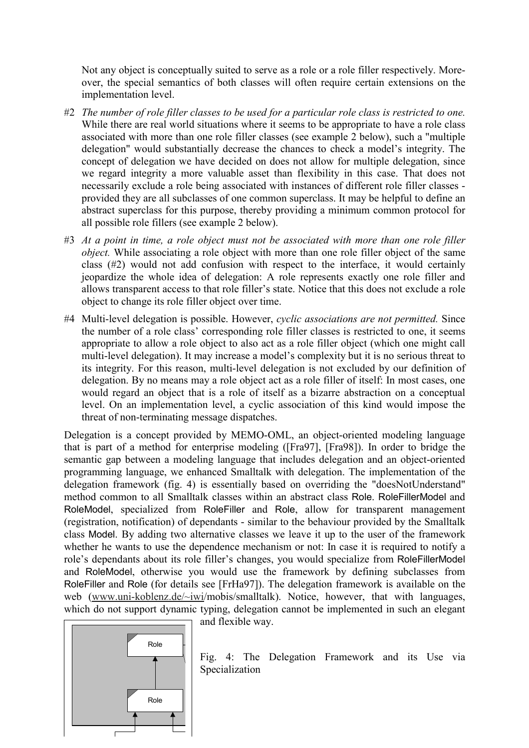Not any object is conceptually suited to serve as a role or a role filler respectively. Moreover, the special semantics of both classes will often require certain extensions on the implementation level.

- #2 *The number of role filler classes to be used for a particular role class is restricted to one.*  While there are real world situations where it seems to be appropriate to have a role class associated with more than one role filler classes (see example 2 below), such a "multiple delegation" would substantially decrease the chances to check a model's integrity. The concept of delegation we have decided on does not allow for multiple delegation, since we regard integrity a more valuable asset than flexibility in this case. That does not necessarily exclude a role being associated with instances of different role filler classes provided they are all subclasses of one common superclass. It may be helpful to define an abstract superclass for this purpose, thereby providing a minimum common protocol for all possible role fillers (see example 2 below).
- #3 *At a point in time, a role object must not be associated with more than one role filler object.* While associating a role object with more than one role filler object of the same class (#2) would not add confusion with respect to the interface, it would certainly jeopardize the whole idea of delegation: A role represents exactly one role filler and allows transparent access to that role filler's state. Notice that this does not exclude a role object to change its role filler object over time.
- #4 Multi-level delegation is possible. However, *cyclic associations are not permitted.* Since the number of a role class' corresponding role filler classes is restricted to one, it seems appropriate to allow a role object to also act as a role filler object (which one might call multi-level delegation). It may increase a model's complexity but it is no serious threat to its integrity. For this reason, multi-level delegation is not excluded by our definition of delegation. By no means may a role object act as a role filler of itself: In most cases, one would regard an object that is a role of itself as a bizarre abstraction on a conceptual level. On an implementation level, a cyclic association of this kind would impose the threat of non-terminating message dispatches.

Delegation is a concept provided by MEMO-OML, an object-oriented modeling language that is part of a method for enterprise modeling ([Fra97], [Fra98]). In order to bridge the semantic gap between a modeling language that includes delegation and an object-oriented programming language, we enhanced Smalltalk with delegation. The implementation of the delegation framework (fig. 4) is essentially based on overriding the "doesNotUnderstand" method common to all Smalltalk classes within an abstract class Role. RoleFillerModel and RoleModel, specialized from RoleFiller and Role, allow for transparent management (registration, notification) of dependants - similar to the behaviour provided by the Smalltalk class Model. By adding two alternative classes we leave it up to the user of the framework whether he wants to use the dependence mechanism or not: In case it is required to notify a role's dependants about its role filler's changes, you would specialize from RoleFillerModel and RoleModel, otherwise you would use the framework by defining subclasses from RoleFiller and Role (for details see [FrHa97]). The delegation framework is available on the web (www.uni-koblenz.de/~iwi/mobis/smalltalk). Notice, however, that with languages, which do not support dynamic typing, delegation cannot be implemented in such an elegant



and flexible way.

Fig. 4: The Delegation Framework and its Use via Specialization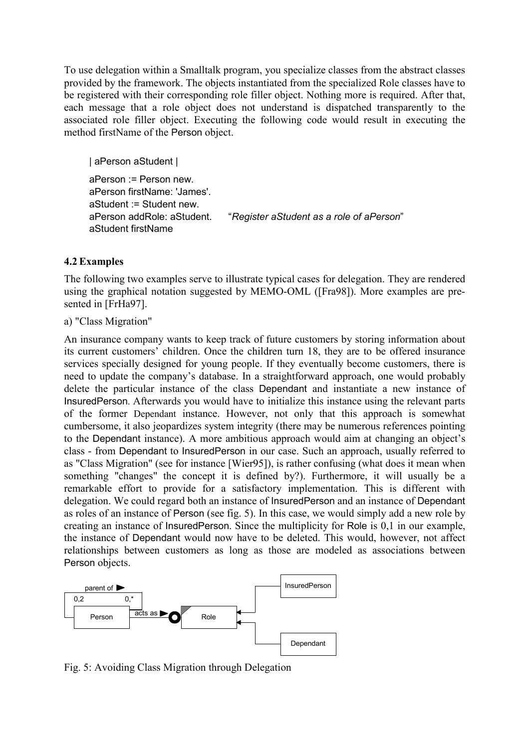To use delegation within a Smalltalk program, you specialize classes from the abstract classes provided by the framework. The objects instantiated from the specialized Role classes have to be registered with their corresponding role filler object. Nothing more is required. After that, each message that a role object does not understand is dispatched transparently to the associated role filler object. Executing the following code would result in executing the method firstName of the Person object.

| aPerson aStudent |

aPerson := Person new. aPerson firstName: 'James'. aStudent := Student new. aPerson addRole: aStudent. "*Register aStudent as a role of aPerson*" aStudent firstName

# **4.2 Examples**

The following two examples serve to illustrate typical cases for delegation. They are rendered using the graphical notation suggested by MEMO-OML ([Fra98]). More examples are presented in [FrHa97].

a) "Class Migration"

An insurance company wants to keep track of future customers by storing information about its current customers' children. Once the children turn 18, they are to be offered insurance services specially designed for young people. If they eventually become customers, there is need to update the company's database. In a straightforward approach, one would probably delete the particular instance of the class Dependant and instantiate a new instance of InsuredPerson. Afterwards you would have to initialize this instance using the relevant parts of the former Dependant instance. However, not only that this approach is somewhat cumbersome, it also jeopardizes system integrity (there may be numerous references pointing to the Dependant instance). A more ambitious approach would aim at changing an object's class - from Dependant to InsuredPerson in our case. Such an approach, usually referred to as "Class Migration" (see for instance [Wier95]), is rather confusing (what does it mean when something "changes" the concept it is defined by?). Furthermore, it will usually be a remarkable effort to provide for a satisfactory implementation. This is different with delegation. We could regard both an instance of InsuredPerson and an instance of Dependant as roles of an instance of Person (see fig. 5). In this case, we would simply add a new role by creating an instance of InsuredPerson. Since the multiplicity for Role is 0,1 in our example, the instance of Dependant would now have to be deleted. This would, however, not affect relationships between customers as long as those are modeled as associations between Person objects.



Fig. 5: Avoiding Class Migration through Delegation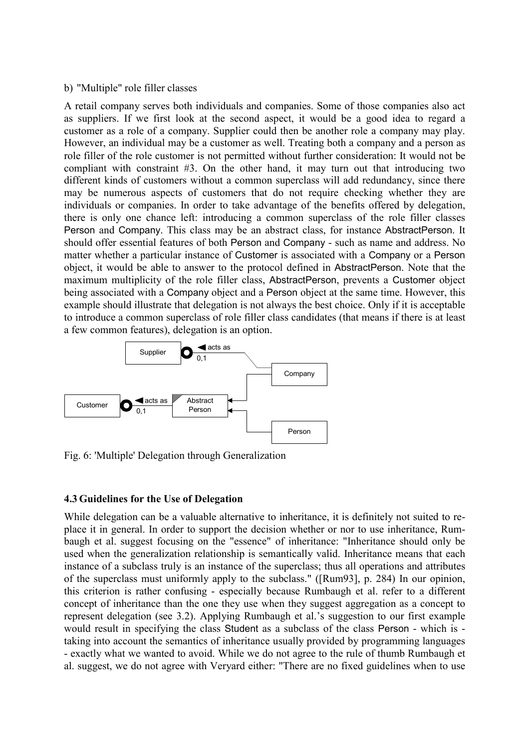#### b) "Multiple" role filler classes

A retail company serves both individuals and companies. Some of those companies also act as suppliers. If we first look at the second aspect, it would be a good idea to regard a customer as a role of a company. Supplier could then be another role a company may play. However, an individual may be a customer as well. Treating both a company and a person as role filler of the role customer is not permitted without further consideration: It would not be compliant with constraint #3. On the other hand, it may turn out that introducing two different kinds of customers without a common superclass will add redundancy, since there may be numerous aspects of customers that do not require checking whether they are individuals or companies. In order to take advantage of the benefits offered by delegation, there is only one chance left: introducing a common superclass of the role filler classes Person and Company. This class may be an abstract class, for instance AbstractPerson. It should offer essential features of both Person and Company - such as name and address. No matter whether a particular instance of Customer is associated with a Company or a Person object, it would be able to answer to the protocol defined in AbstractPerson. Note that the maximum multiplicity of the role filler class, AbstractPerson, prevents a Customer object being associated with a Company object and a Person object at the same time. However, this example should illustrate that delegation is not always the best choice. Only if it is acceptable to introduce a common superclass of role filler class candidates (that means if there is at least a few common features), delegation is an option.



Fig. 6: 'Multiple' Delegation through Generalization

#### **4.3 Guidelines for the Use of Delegation**

While delegation can be a valuable alternative to inheritance, it is definitely not suited to replace it in general. In order to support the decision whether or nor to use inheritance, Rumbaugh et al. suggest focusing on the "essence" of inheritance: "Inheritance should only be used when the generalization relationship is semantically valid. Inheritance means that each instance of a subclass truly is an instance of the superclass; thus all operations and attributes of the superclass must uniformly apply to the subclass." ([Rum93], p. 284) In our opinion, this criterion is rather confusing - especially because Rumbaugh et al. refer to a different concept of inheritance than the one they use when they suggest aggregation as a concept to represent delegation (see 3.2). Applying Rumbaugh et al.'s suggestion to our first example would result in specifying the class Student as a subclass of the class Person - which is taking into account the semantics of inheritance usually provided by programming languages - exactly what we wanted to avoid. While we do not agree to the rule of thumb Rumbaugh et al. suggest, we do not agree with Veryard either: "There are no fixed guidelines when to use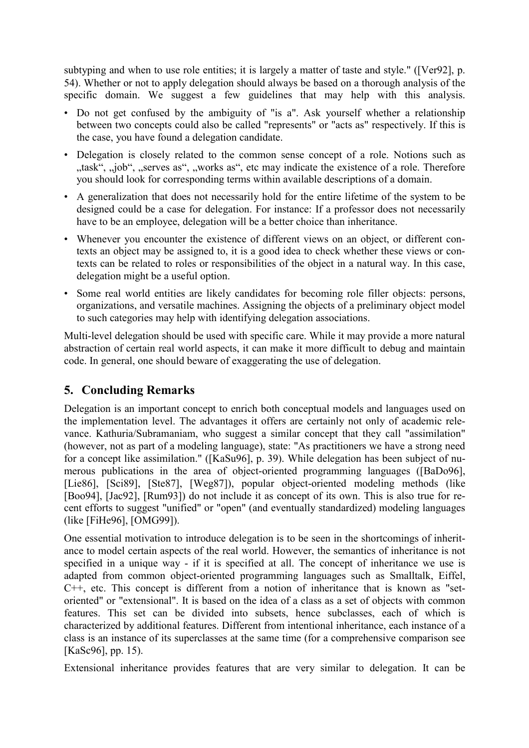subtyping and when to use role entities; it is largely a matter of taste and style." ([Ver92], p. 54). Whether or not to apply delegation should always be based on a thorough analysis of the specific domain. We suggest a few guidelines that may help with this analysis.

- Do not get confused by the ambiguity of "is a". Ask yourself whether a relationship between two concepts could also be called "represents" or "acts as" respectively. If this is the case, you have found a delegation candidate.
- Delegation is closely related to the common sense concept of a role. Notions such as ", task", "job", "serves as", "works as", etc may indicate the existence of a role. Therefore, you should look for corresponding terms within available descriptions of a domain.
- A generalization that does not necessarily hold for the entire lifetime of the system to be designed could be a case for delegation. For instance: If a professor does not necessarily have to be an employee, delegation will be a better choice than inheritance.
- Whenever you encounter the existence of different views on an object, or different contexts an object may be assigned to, it is a good idea to check whether these views or contexts can be related to roles or responsibilities of the object in a natural way. In this case, delegation might be a useful option.
- Some real world entities are likely candidates for becoming role filler objects: persons, organizations, and versatile machines. Assigning the objects of a preliminary object model to such categories may help with identifying delegation associations.

Multi-level delegation should be used with specific care. While it may provide a more natural abstraction of certain real world aspects, it can make it more difficult to debug and maintain code. In general, one should beware of exaggerating the use of delegation.

# **5. Concluding Remarks**

Delegation is an important concept to enrich both conceptual models and languages used on the implementation level. The advantages it offers are certainly not only of academic relevance. Kathuria/Subramaniam, who suggest a similar concept that they call "assimilation" (however, not as part of a modeling language), state: "As practitioners we have a strong need for a concept like assimilation." ([KaSu96], p. 39). While delegation has been subject of numerous publications in the area of object-oriented programming languages ([BaDo96], [Lie86], [Sci89], [Ste87], [Weg87]), popular object-oriented modeling methods (like [Boo94], [Jac92], [Rum93]) do not include it as concept of its own. This is also true for recent efforts to suggest "unified" or "open" (and eventually standardized) modeling languages (like [FiHe96], [OMG99]).

One essential motivation to introduce delegation is to be seen in the shortcomings of inheritance to model certain aspects of the real world. However, the semantics of inheritance is not specified in a unique way - if it is specified at all. The concept of inheritance we use is adapted from common object-oriented programming languages such as Smalltalk, Eiffel, C++, etc. This concept is different from a notion of inheritance that is known as "setoriented" or "extensional". It is based on the idea of a class as a set of objects with common features. This set can be divided into subsets, hence subclasses, each of which is characterized by additional features. Different from intentional inheritance, each instance of a class is an instance of its superclasses at the same time (for a comprehensive comparison see [KaSc96], pp. 15).

Extensional inheritance provides features that are very similar to delegation. It can be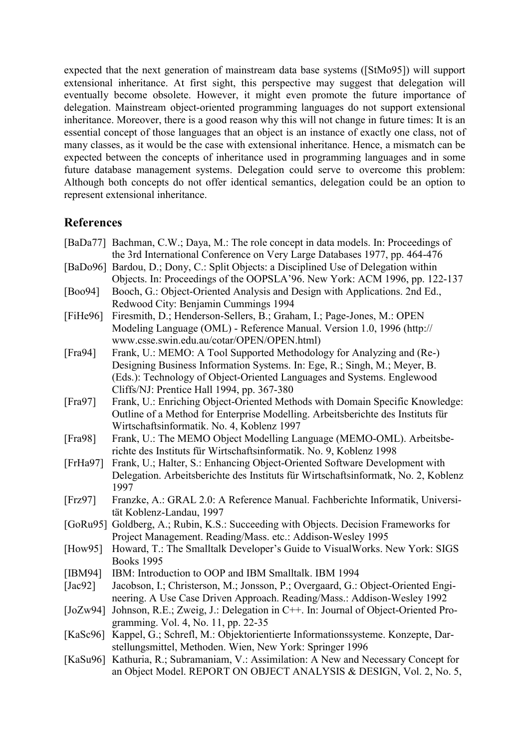expected that the next generation of mainstream data base systems ([StMo95]) will support extensional inheritance. At first sight, this perspective may suggest that delegation will eventually become obsolete. However, it might even promote the future importance of delegation. Mainstream object-oriented programming languages do not support extensional inheritance. Moreover, there is a good reason why this will not change in future times: It is an essential concept of those languages that an object is an instance of exactly one class, not of many classes, as it would be the case with extensional inheritance. Hence, a mismatch can be expected between the concepts of inheritance used in programming languages and in some future database management systems. Delegation could serve to overcome this problem: Although both concepts do not offer identical semantics, delegation could be an option to represent extensional inheritance.

# **References**

|           | [BaDa77] Bachman, C.W.; Daya, M.: The role concept in data models. In: Proceedings of                                                                              |
|-----------|--------------------------------------------------------------------------------------------------------------------------------------------------------------------|
|           | the 3rd International Conference on Very Large Databases 1977, pp. 464-476<br>[BaDo96] Bardou, D.; Dony, C.: Split Objects: a Disciplined Use of Delegation within |
|           | Objects. In: Proceedings of the OOPSLA'96. New York: ACM 1996, pp. 122-137                                                                                         |
| [Boo94]   | Booch, G.: Object-Oriented Analysis and Design with Applications. 2nd Ed.,                                                                                         |
|           | Redwood City: Benjamin Cummings 1994                                                                                                                               |
| [FitHe96] | Firesmith, D.; Henderson-Sellers, B.; Graham, I.; Page-Jones, M.: OPEN                                                                                             |
|           | Modeling Language (OML) - Reference Manual. Version 1.0, 1996 (http://                                                                                             |
|           | www.csse.swin.edu.au/cotar/OPEN/OPEN.html)                                                                                                                         |
| [Fra94]   | Frank, U.: MEMO: A Tool Supported Methodology for Analyzing and (Re-)                                                                                              |
|           | Designing Business Information Systems. In: Ege, R.; Singh, M.; Meyer, B.                                                                                          |
|           | (Eds.): Technology of Object-Oriented Languages and Systems. Englewood                                                                                             |
|           | Cliffs/NJ: Prentice Hall 1994, pp. 367-380                                                                                                                         |

- [Fra97] Frank, U.: Enriching Object-Oriented Methods with Domain Specific Knowledge: Outline of a Method for Enterprise Modelling. Arbeitsberichte des Instituts für Wirtschaftsinformatik. No. 4, Koblenz 1997
- [Fra98] Frank, U.: The MEMO Object Modelling Language (MEMO-OML). Arbeitsberichte des Instituts für Wirtschaftsinformatik. No. 9, Koblenz 1998
- [FrHa97] Frank, U.; Halter, S.: Enhancing Object-Oriented Software Development with Delegation. Arbeitsberichte des Instituts für Wirtschaftsinformatk, No. 2, Koblenz 1997
- [Frz97] Franzke, A.: GRAL 2.0: A Reference Manual. Fachberichte Informatik, Universität Koblenz-Landau, 1997
- [GoRu95] Goldberg, A.; Rubin, K.S.: Succeeding with Objects. Decision Frameworks for Project Management. Reading/Mass. etc.: Addison-Wesley 1995
- [How95] Howard, T.: The Smalltalk Developer's Guide to VisualWorks. New York: SIGS Books 1995
- [IBM94] IBM: Introduction to OOP and IBM Smalltalk. IBM 1994
- [Jac92] Jacobson, I.; Christerson, M.; Jonsson, P.; Overgaard, G.: Object-Oriented Engineering. A Use Case Driven Approach. Reading/Mass.: Addison-Wesley 1992
- [JoZw94] Johnson, R.E.; Zweig, J.: Delegation in C++. In: Journal of Object-Oriented Programming. Vol. 4, No. 11, pp. 22-35
- [KaSc96] Kappel, G.; Schrefl, M.: Objektorientierte Informationssysteme. Konzepte, Darstellungsmittel, Methoden. Wien, New York: Springer 1996
- [KaSu96] Kathuria, R.; Subramaniam, V.: Assimilation: A New and Necessary Concept for an Object Model. REPORT ON OBJECT ANALYSIS & DESIGN, Vol. 2, No. 5,